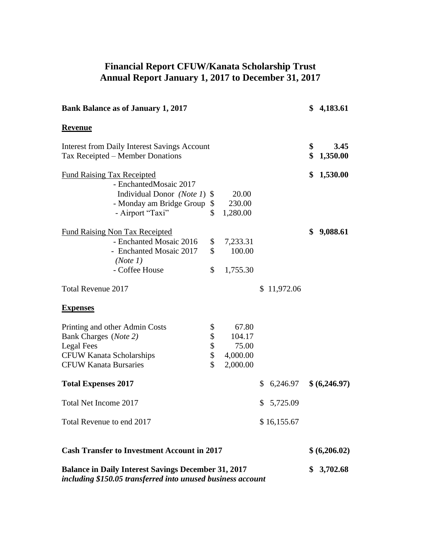## **Financial Report CFUW/Kanata Scholarship Trust Annual Report January 1, 2017 to December 31, 2017**

| <b>Bank Balance as of January 1, 2017</b>                                                                                                       |                            |                                                  |                |          | \$4,183.61       |
|-------------------------------------------------------------------------------------------------------------------------------------------------|----------------------------|--------------------------------------------------|----------------|----------|------------------|
| <b>Revenue</b>                                                                                                                                  |                            |                                                  |                |          |                  |
| <b>Interest from Daily Interest Savings Account</b><br>Tax Receipted – Member Donations                                                         |                            |                                                  |                | \$<br>\$ | 3.45<br>1,350.00 |
| <b>Fund Raising Tax Receipted</b><br>- EnchantedMosaic 2017                                                                                     |                            |                                                  |                | \$       | 1,530.00         |
| Individual Donor (Note 1) \$<br>- Monday am Bridge Group<br>- Airport "Taxi"                                                                    | \$<br>\$                   | 20.00<br>230.00<br>1,280.00                      |                |          |                  |
| <b>Fund Raising Non Tax Receipted</b><br>- Enchanted Mosaic 2016<br>- Enchanted Mosaic 2017<br>(Note 1)<br>- Coffee House                       | \$<br>\$<br>\$             | 7,233.31<br>100.00<br>1,755.30                   |                | \$       | 9,088.61         |
| <b>Total Revenue 2017</b>                                                                                                                       |                            |                                                  | \$11,972.06    |          |                  |
| <b>Expenses</b>                                                                                                                                 |                            |                                                  |                |          |                  |
| Printing and other Admin Costs<br>Bank Charges (Note 2)<br><b>Legal Fees</b><br><b>CFUW Kanata Scholarships</b><br><b>CFUW Kanata Bursaries</b> | \$<br>\$<br>\$<br>\$<br>\$ | 67.80<br>104.17<br>75.00<br>4,000.00<br>2,000.00 |                |          |                  |
| <b>Total Expenses 2017</b>                                                                                                                      |                            |                                                  | \$<br>6,246.97 |          | \$(6,246.97)     |
| Total Net Income 2017                                                                                                                           |                            |                                                  | \$<br>5,725.09 |          |                  |
| Total Revenue to end 2017                                                                                                                       |                            |                                                  | \$16,155.67    |          |                  |
| <b>Cash Transfer to Investment Account in 2017</b>                                                                                              |                            |                                                  |                |          | \$(6,206.02)     |
| <b>Balance in Daily Interest Savings December 31, 2017</b><br>including \$150.05 transferred into unused business account                       |                            |                                                  |                | \$       | 3,702.68         |